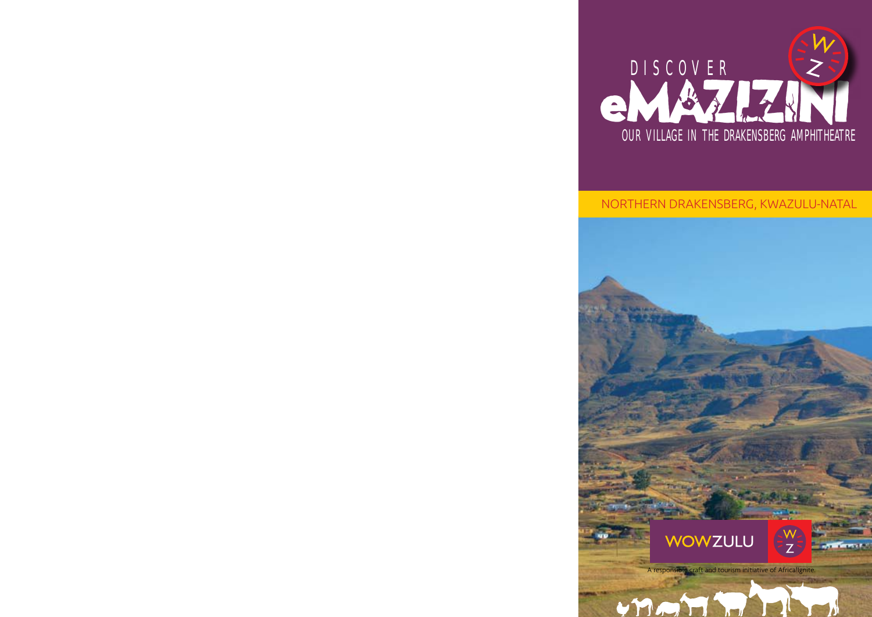

## NORTHERN DRAKENSBERG, KWAZULU-NATAL

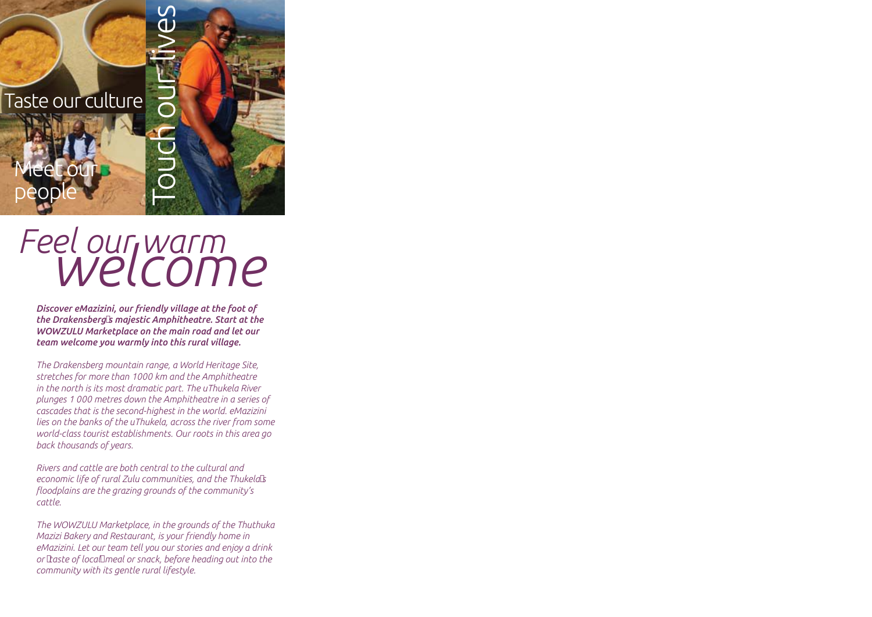## Taste our culture

Meet our

people

## *Feel our warm welcome*

Touch our lives

*Discover eMazizini, our friendly village at the foot of the Drakensberg's majestic Amphitheatre. Start at the WOWZULU Marketplace on the main road and let our team welcome you warmly into this rural village.* 

*The Drakensberg mountain range, a World Heritage Site, stretches for more than 1000 km and the Amphitheatre in the north is its most dramatic part. The uThukela River plunges 1 000 metres down the Amphitheatre in a series of cascades that is the second-highest in the world. eMazizini lies on the banks of the uThukela, across the river from some world-class tourist establishments. Our roots in this area go back thousands of years.* 

*Rivers and cattle are both central to the cultural and economic life of rural Zulu communities, and the Thukela's floodplains are the grazing grounds of the community's cattle.* 

*The WOWZULU Marketplace, in the grounds of the Thuthuka Mazizi Bakery and Restaurant, is your friendly home in eMazizini. Let our team tell you our stories and enjoy a drink or 'taste of local' meal or snack, before heading out into the community with its gentle rural lifestyle.*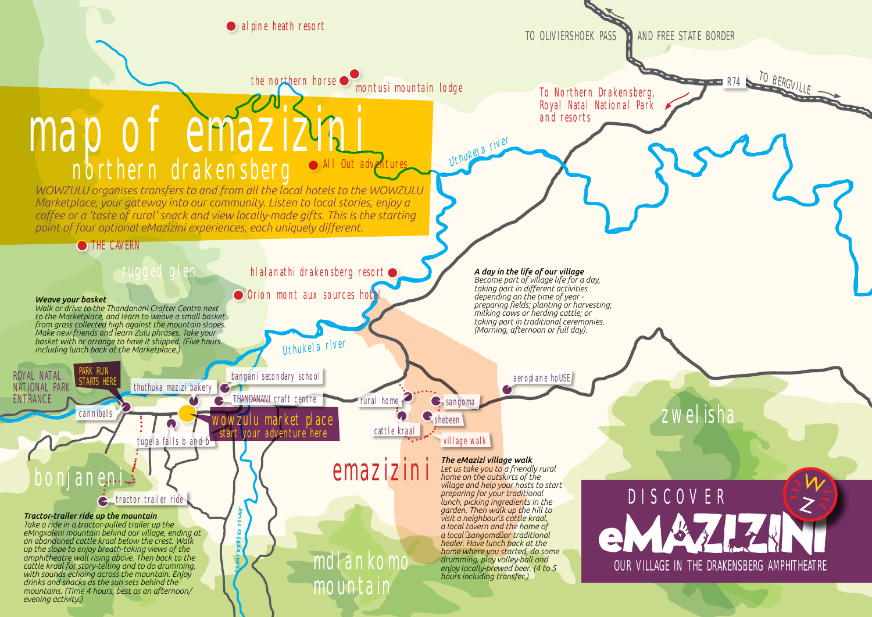